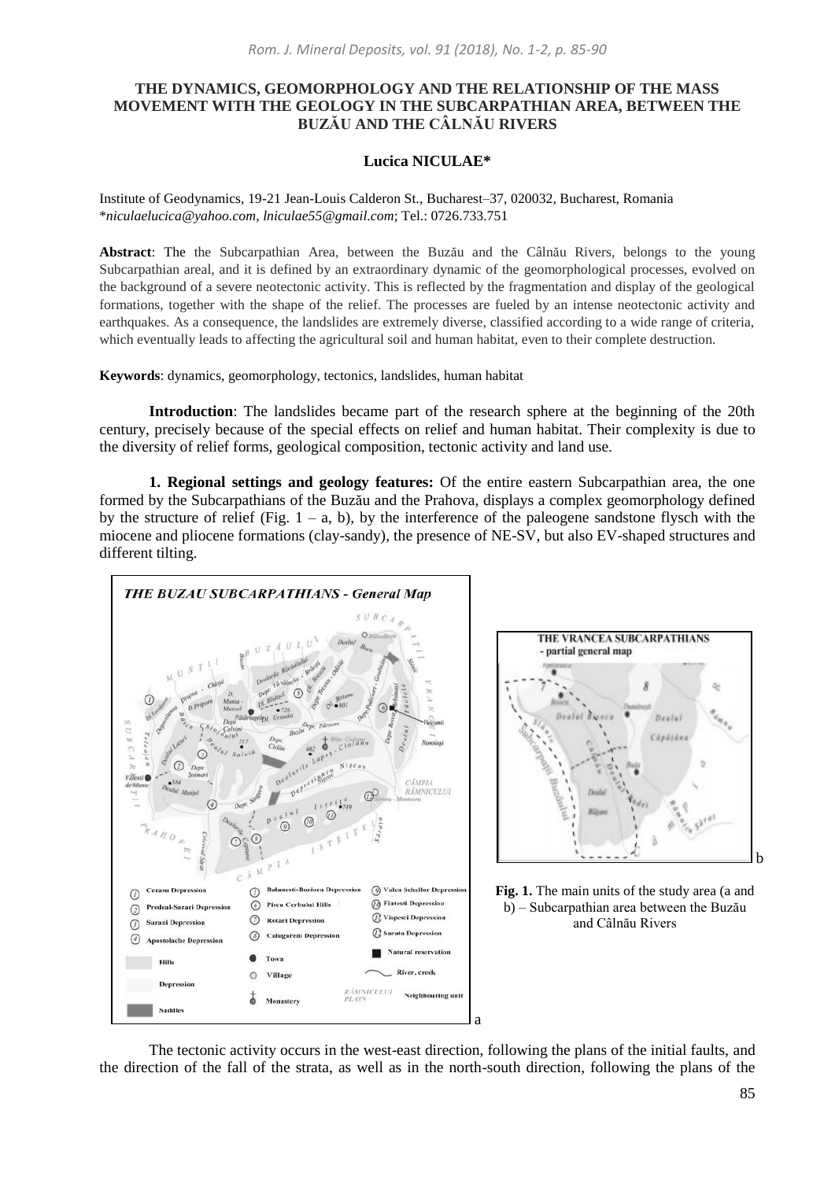## **THE DYNAMICS, GEOMORPHOLOGY AND THE RELATIONSHIP OF THE MASS MOVEMENT WITH THE GEOLOGY IN THE SUBCARPATHIAN AREA, BETWEEN THE BUZĂU AND THE CÂLNĂU RIVERS**

## **Lucica NICULAE\***

Institute of Geodynamics, 19-21 Jean-Louis Calderon St., Bucharest–37, 020032, Bucharest, Romania \**niculaelucica@yahoo.com*, *lniculae55@gmail.com*; Tel.: 0726.733.751

**Abstract**: The the Subcarpathian Area, between the Buzău and the Câlnău Rivers, belongs to the young Subcarpathian areal, and it is defined by an extraordinary dynamic of the geomorphological processes, evolved on the background of a severe neotectonic activity. This is reflected by the fragmentation and display of the geological formations, together with the shape of the relief. The processes are fueled by an intense neotectonic activity and earthquakes. As a consequence, the landslides are extremely diverse, classified according to a wide range of criteria, which eventually leads to affecting the agricultural soil and human habitat, even to their complete destruction.

**Keywords**: dynamics, geomorphology, tectonics, landslides, human habitat

**Introduction**: The landslides became part of the research sphere at the beginning of the 20th century, precisely because of the special effects on relief and human habitat. Their complexity is due to the diversity of relief forms, geological composition, tectonic activity and land use.

**1. Regional settings and geology features:** Of the entire eastern Subcarpathian area, the one formed by the Subcarpathians of the Buzău and the Prahova, displays a complex geomorphology defined by the structure of relief (Fig.  $1 - a$ , b), by the interference of the paleogene sandstone flysch with the miocene and pliocene formations (clay-sandy), the presence of NE-SV, but also EV-shaped structures and different tilting.



The tectonic activity occurs in the west-east direction, following the plans of the initial faults, and the direction of the fall of the strata, as well as in the north-south direction, following the plans of the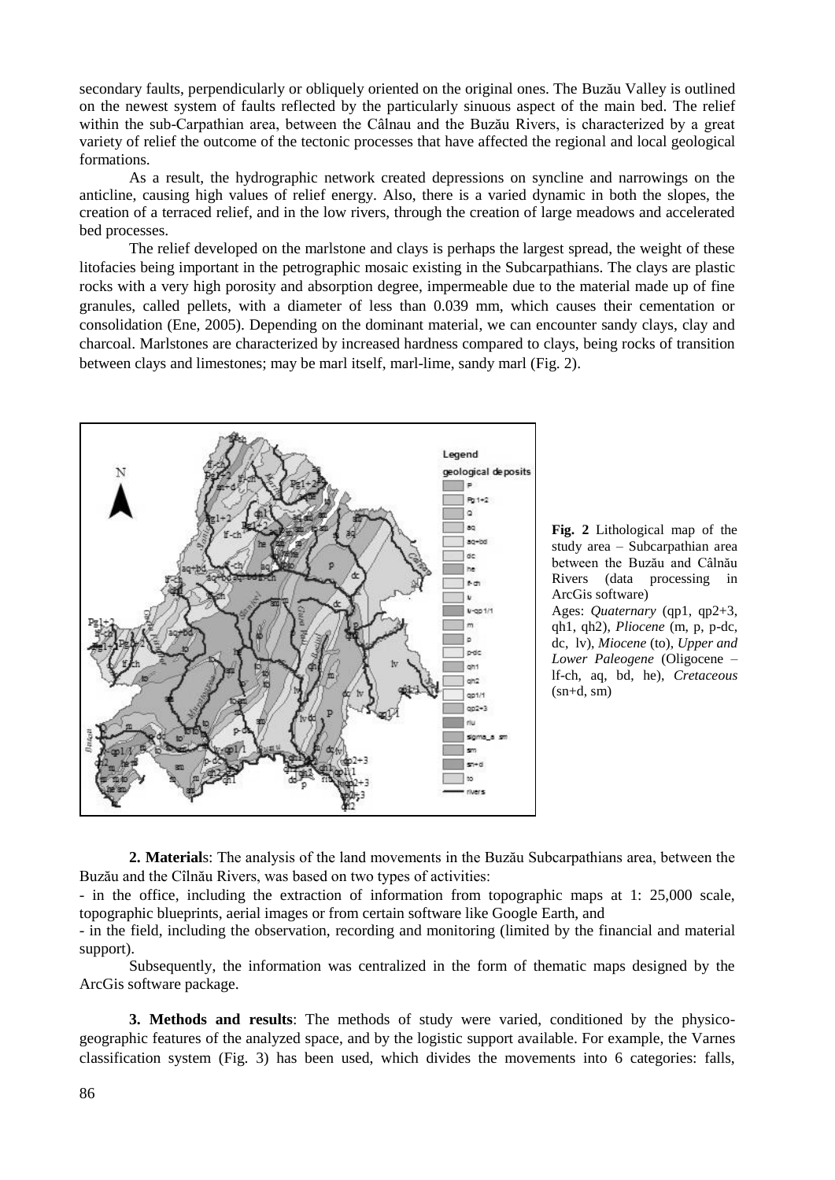secondary faults, perpendicularly or obliquely oriented on the original ones. The Buzău Valley is outlined on the newest system of faults reflected by the particularly sinuous aspect of the main bed. The relief within the sub-Carpathian area, between the Câlnau and the Buzău Rivers, is characterized by a great variety of relief the outcome of the tectonic processes that have affected the regional and local geological formations.

As a result, the hydrographic network created depressions on syncline and narrowings on the anticline, causing high values of relief energy. Also, there is a varied dynamic in both the slopes, the creation of a terraced relief, and in the low rivers, through the creation of large meadows and accelerated bed processes.

The relief developed on the marlstone and clays is perhaps the largest spread, the weight of these litofacies being important in the petrographic mosaic existing in the Subcarpathians. The clays are plastic rocks with a very high porosity and absorption degree, impermeable due to the material made up of fine granules, called pellets, with a diameter of less than 0.039 mm, which causes their cementation or consolidation (Ene, 2005). Depending on the dominant material, we can encounter sandy clays, clay and charcoal. Marlstones are characterized by increased hardness compared to clays, being rocks of transition between clays and limestones; may be marl itself, marl-lime, sandy marl (Fig. 2).



**Fig. 2** Lithological map of the study area – Subcarpathian area between the Buzău and Câlnău Rivers (data processing in ArcGis software)

Ages: *Quaternary* (qp1, qp2+3, qh1, qh2), *Pliocene* (m, p, p-dc, dc, lv), *Miocene* (to), *Upper and Lower Paleogene* (Oligocene – lf-ch, aq, bd, he), *Cretaceous*  $(sn+d, sm)$ 

**2. Material**s: The analysis of the land movements in the Buzău Subcarpathians area, between the Buzău and the Cîlnău Rivers, was based on two types of activities:

- in the office, including the extraction of information from topographic maps at 1: 25,000 scale, topographic blueprints, aerial images or from certain software like Google Earth, and

- in the field, including the observation, recording and monitoring (limited by the financial and material support).

Subsequently, the information was centralized in the form of thematic maps designed by the ArcGis software package.

**3. Methods and results**: The methods of study were varied, conditioned by the physicogeographic features of the analyzed space, and by the logistic support available. For example, the Varnes classification system (Fig. 3) has been used, which divides the movements into 6 categories: falls,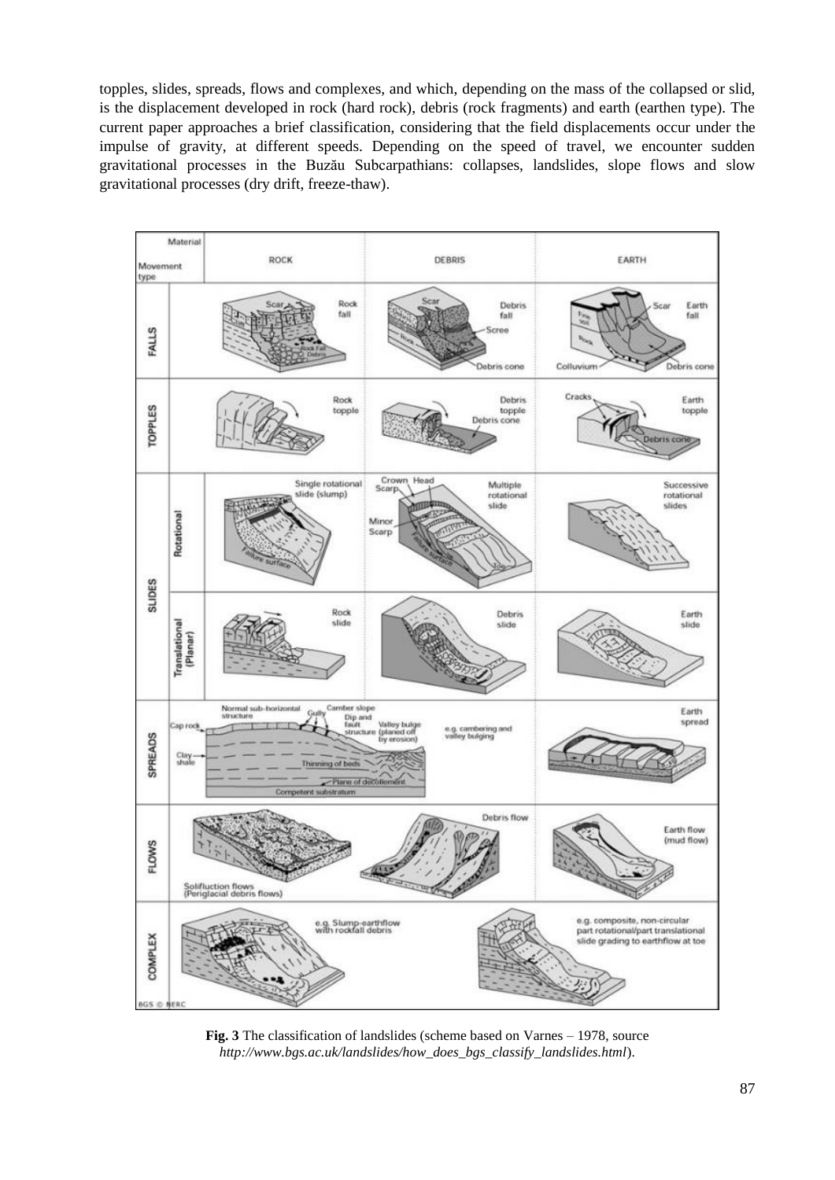topples, slides, spreads, flows and complexes, and which, depending on the mass of the collapsed or slid, is the displacement developed in rock (hard rock), debris (rock fragments) and earth (earthen type). The current paper approaches a brief classification, considering that the field displacements occur under the impulse of gravity, at different speeds. Depending on the speed of travel, we encounter sudden gravitational processes in the Buzău Subcarpathians: collapses, landslides, slope flows and slow gravitational processes (dry drift, freeze-thaw).



**Fig. 3** The classification of landslides (scheme based on Varnes – 1978, source *[http://www.bgs.ac.uk/landslides/how\\_does\\_bgs\\_classify\\_landslides.html](http://www.bgs.ac.uk/landslides/how_does_bgs_classify_landslides.html)*).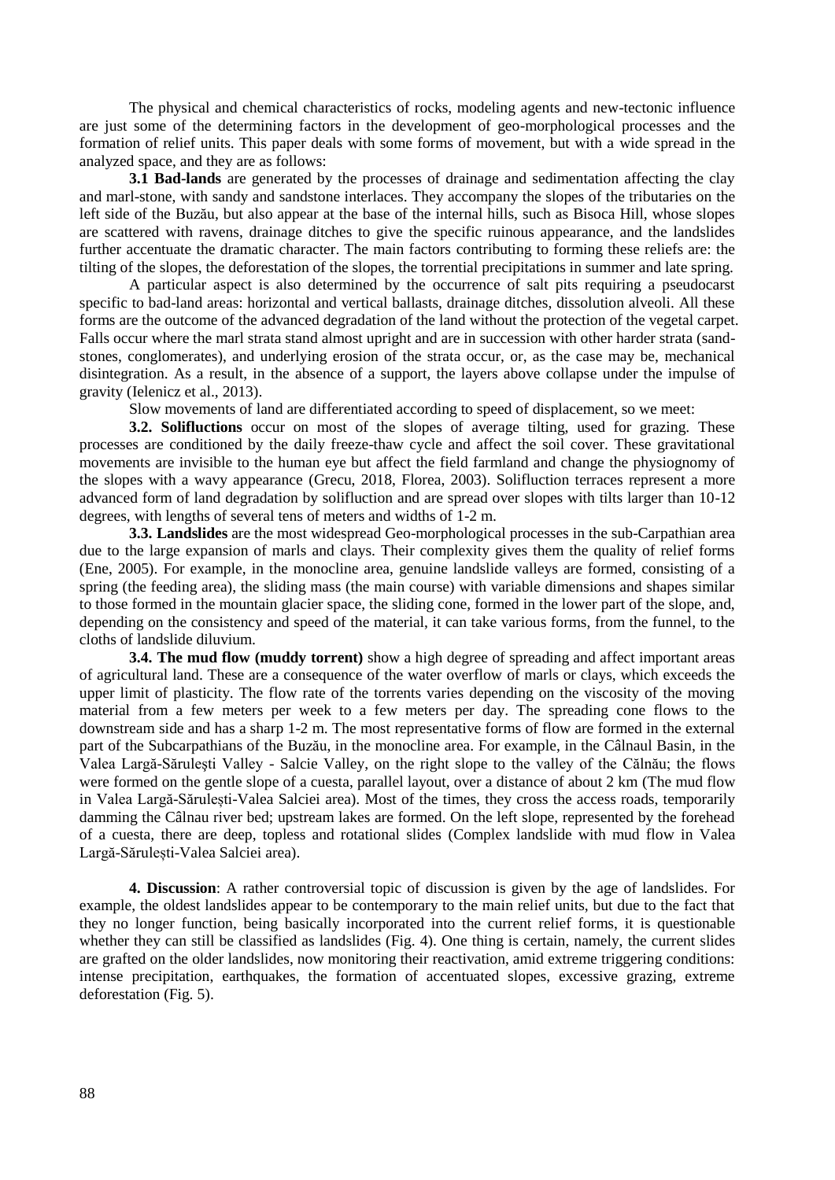The physical and chemical characteristics of rocks, modeling agents and new-tectonic influence are just some of the determining factors in the development of geo-morphological processes and the formation of relief units. This paper deals with some forms of movement, but with a wide spread in the analyzed space, and they are as follows:

**3.1 Bad-lands** are generated by the processes of drainage and sedimentation affecting the clay and marl-stone, with sandy and sandstone interlaces. They accompany the slopes of the tributaries on the left side of the Buzău, but also appear at the base of the internal hills, such as Bisoca Hill, whose slopes are scattered with ravens, drainage ditches to give the specific ruinous appearance, and the landslides further accentuate the dramatic character. The main factors contributing to forming these reliefs are: the tilting of the slopes, the deforestation of the slopes, the torrential precipitations in summer and late spring.

A particular aspect is also determined by the occurrence of salt pits requiring a pseudocarst specific to bad-land areas: horizontal and vertical ballasts, drainage ditches, dissolution alveoli. All these forms are the outcome of the advanced degradation of the land without the protection of the vegetal carpet. Falls occur where the marl strata stand almost upright and are in succession with other harder strata (sandstones, conglomerates), and underlying erosion of the strata occur, or, as the case may be, mechanical disintegration. As a result, in the absence of a support, the layers above collapse under the impulse of gravity (Ielenicz et al., 2013).

Slow movements of land are differentiated according to speed of displacement, so we meet:

**3.2. Solifluctions** occur on most of the slopes of average tilting, used for grazing. These processes are conditioned by the daily freeze-thaw cycle and affect the soil cover. These gravitational movements are invisible to the human eye but affect the field farmland and change the physiognomy of the slopes with a wavy appearance (Grecu, 2018, Florea, 2003). Solifluction terraces represent a more advanced form of land degradation by solifluction and are spread over slopes with tilts larger than 10-12 degrees, with lengths of several tens of meters and widths of 1-2 m.

**3.3. Landslides** are the most widespread Geo-morphological processes in the sub-Carpathian area due to the large expansion of marls and clays. Their complexity gives them the quality of relief forms (Ene, 2005). For example, in the monocline area, genuine landslide valleys are formed, consisting of a spring (the feeding area), the sliding mass (the main course) with variable dimensions and shapes similar to those formed in the mountain glacier space, the sliding cone, formed in the lower part of the slope, and, depending on the consistency and speed of the material, it can take various forms, from the funnel, to the cloths of landslide diluvium.

**3.4. The mud flow (muddy torrent)** show a high degree of spreading and affect important areas of agricultural land. These are a consequence of the water overflow of marls or clays, which exceeds the upper limit of plasticity. The flow rate of the torrents varies depending on the viscosity of the moving material from a few meters per week to a few meters per day. The spreading cone flows to the downstream side and has a sharp 1-2 m. The most representative forms of flow are formed in the external part of the Subcarpathians of the Buzău, in the monocline area. For example, in the Câlnaul Basin, in the Valea Largă-Săruleşti Valley - Salcie Valley, on the right slope to the valley of the Călnău; the flows were formed on the gentle slope of a cuesta, parallel layout, over a distance of about 2 km (The mud flow in Valea Largă-Sărulești-Valea Salciei area). Most of the times, they cross the access roads, temporarily damming the Câlnau river bed; upstream lakes are formed. On the left slope, represented by the forehead of a cuesta, there are deep, topless and rotational slides (Complex landslide with mud flow in Valea Largă-Sărulești-Valea Salciei area).

**4. Discussion**: A rather controversial topic of discussion is given by the age of landslides. For example, the oldest landslides appear to be contemporary to the main relief units, but due to the fact that they no longer function, being basically incorporated into the current relief forms, it is questionable whether they can still be classified as landslides (Fig. 4). One thing is certain, namely, the current slides are grafted on the older landslides, now monitoring their reactivation, amid extreme triggering conditions: intense precipitation, earthquakes, the formation of accentuated slopes, excessive grazing, extreme deforestation (Fig. 5).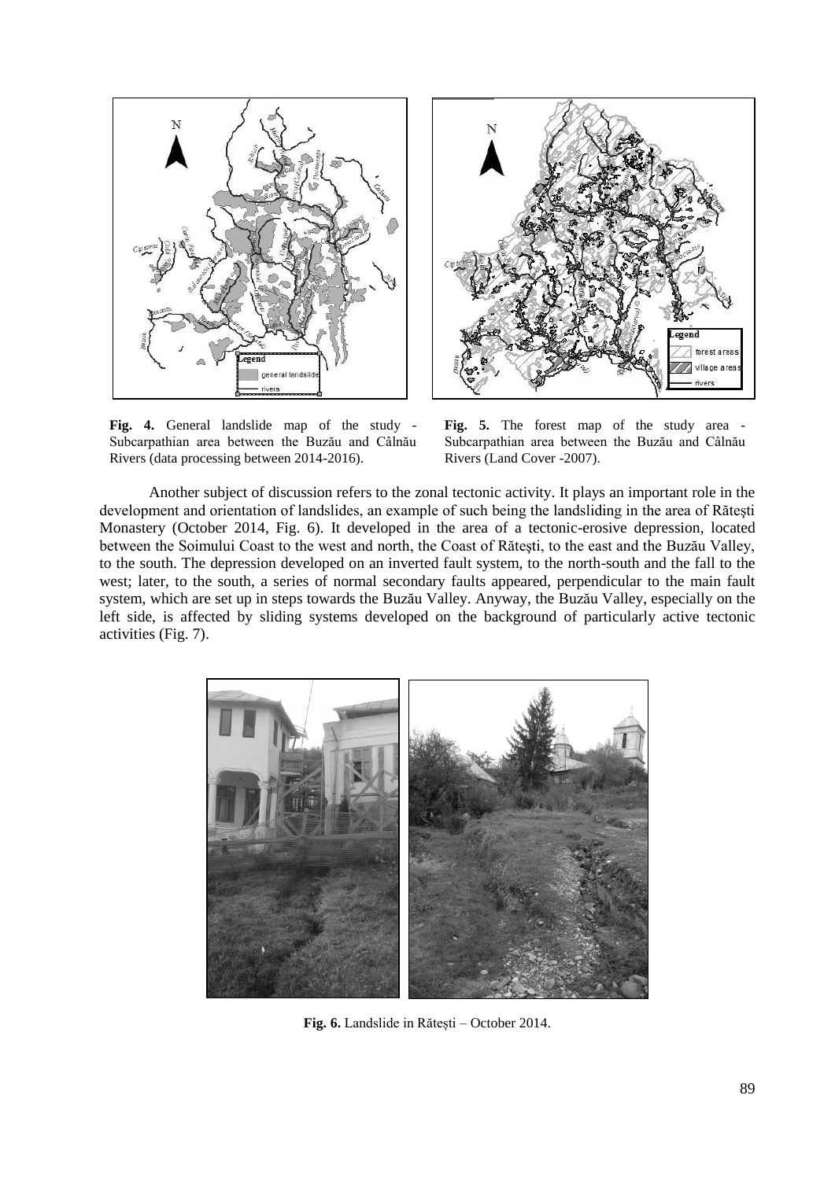

**Fig. 4.** General landslide map of the study - Subcarpathian area between the Buzău and Câlnău Rivers (data processing between 2014-2016).



**Fig. 5.** The forest map of the study area - Subcarpathian area between the Buzău and Câlnău Rivers (Land Cover -2007).

Another subject of discussion refers to the zonal tectonic activity. It plays an important role in the development and orientation of landslides, an example of such being the landsliding in the area of Răteşti Monastery (October 2014, Fig. 6). It developed in the area of a tectonic-erosive depression, located between the Soimului Coast to the west and north, the Coast of Răteşti, to the east and the Buzău Valley, to the south. The depression developed on an inverted fault system, to the north-south and the fall to the west; later, to the south, a series of normal secondary faults appeared, perpendicular to the main fault system, which are set up in steps towards the Buzău Valley. Anyway, the Buzău Valley, especially on the left side, is affected by sliding systems developed on the background of particularly active tectonic activities (Fig. 7).



Fig. 6. Landslide in Rătești – October 2014.